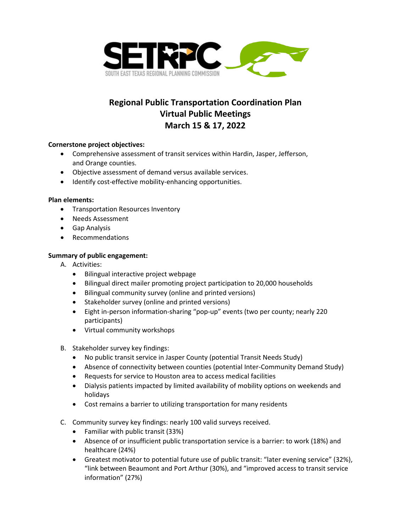

# **Regional Public Transportation Coordination Plan Virtual Public Meetings March 15 & 17, 2022**

### **Cornerstone project objectives:**

- Comprehensive assessment of transit services within Hardin, Jasper, Jefferson, and Orange counties.
- Objective assessment of demand versus available services.
- Identify cost-effective mobility-enhancing opportunities.

### **Plan elements:**

- Transportation Resources Inventory
- Needs Assessment
- Gap Analysis
- Recommendations

### **Summary of public engagement:**

- A. Activities:
	- Bilingual interactive project webpage
	- Bilingual direct mailer promoting project participation to 20,000 households
	- Bilingual community survey (online and printed versions)
	- Stakeholder survey (online and printed versions)
	- Eight in-person information-sharing "pop-up" events (two per county; nearly 220 participants)
	- Virtual community workshops
- B. Stakeholder survey key findings:
	- No public transit service in Jasper County (potential Transit Needs Study)
	- Absence of connectivity between counties (potential Inter-Community Demand Study)
	- Requests for service to Houston area to access medical facilities
	- Dialysis patients impacted by limited availability of mobility options on weekends and holidays
	- Cost remains a barrier to utilizing transportation for many residents
- C. Community survey key findings: nearly 100 valid surveys received.
	- Familiar with public transit (33%)
	- Absence of or insufficient public transportation service is a barrier: to work (18%) and healthcare (24%)
	- Greatest motivator to potential future use of public transit: "later evening service" (32%), "link between Beaumont and Port Arthur (30%), and "improved access to transit service information" (27%)